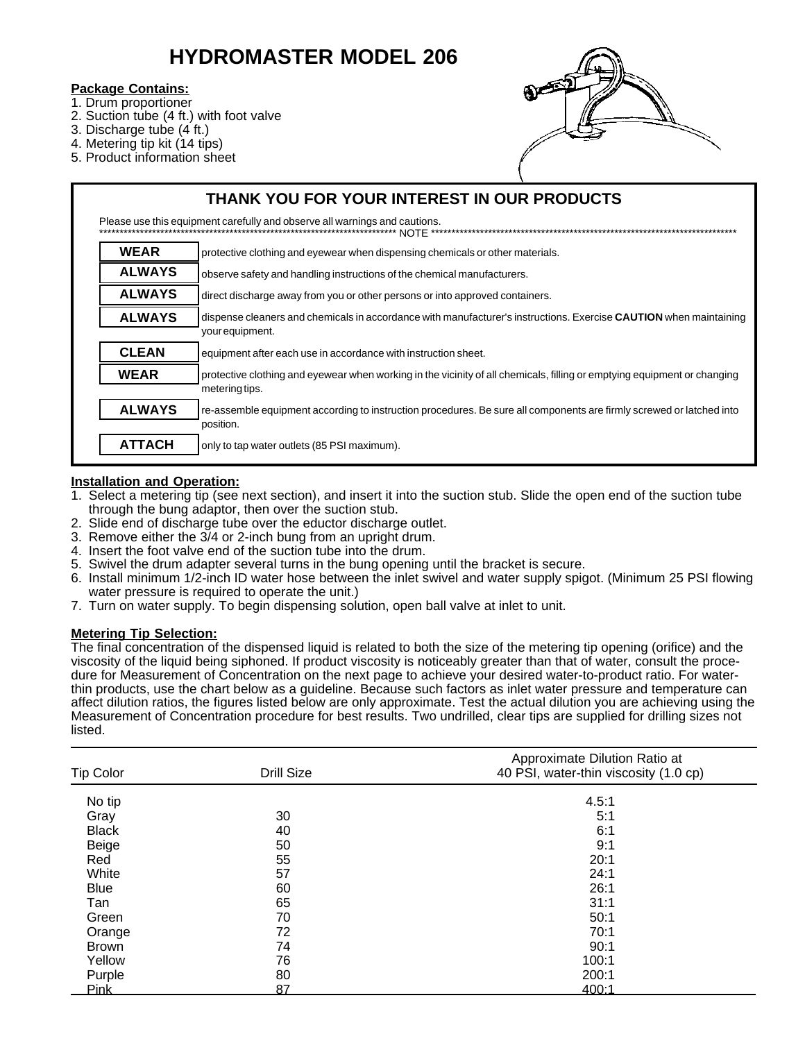# **HYDROMASTER MODEL 206**

#### **Package Contains:**

- 1. Drum proportioner
- 2. Suction tube (4 ft.) with foot valve
- 3. Discharge tube (4 ft.)
- 4. Metering tip kit (14 tips)
- 5. Product information sheet



| THANK YOU FOR YOUR INTEREST IN OUR PRODUCTS                                               |                                                                                                                                            |  |  |  |
|-------------------------------------------------------------------------------------------|--------------------------------------------------------------------------------------------------------------------------------------------|--|--|--|
| Please use this equipment carefully and observe all warnings and cautions.<br><b>NOTE</b> |                                                                                                                                            |  |  |  |
| <b>WEAR</b>                                                                               | protective clothing and eyewear when dispensing chemicals or other materials.                                                              |  |  |  |
| <b>ALWAYS</b>                                                                             | observe safety and handling instructions of the chemical manufacturers.                                                                    |  |  |  |
| <b>ALWAYS</b>                                                                             | direct discharge away from you or other persons or into approved containers.                                                               |  |  |  |
| <b>ALWAYS</b>                                                                             | dispense cleaners and chemicals in accordance with manufacturer's instructions. Exercise CAUTION when maintaining<br>your equipment.       |  |  |  |
| <b>CLEAN</b>                                                                              | equipment after each use in accordance with instruction sheet.                                                                             |  |  |  |
| <b>WEAR</b>                                                                               | protective clothing and eyewear when working in the vicinity of all chemicals, filling or emptying equipment or changing<br>metering tips. |  |  |  |
| <b>ALWAYS</b>                                                                             | re-assemble equipment according to instruction procedures. Be sure all components are firmly screwed or latched into<br>position.          |  |  |  |
| <b>ATTACH</b>                                                                             | only to tap water outlets (85 PSI maximum).                                                                                                |  |  |  |

## **Installation and Operation:**

- 1. Select a metering tip (see next section), and insert it into the suction stub. Slide the open end of the suction tube through the bung adaptor, then over the suction stub.
- 2. Slide end of discharge tube over the eductor discharge outlet.
- 3. Remove either the 3/4 or 2-inch bung from an upright drum.
- 4. Insert the foot valve end of the suction tube into the drum.
- 5. Swivel the drum adapter several turns in the bung opening until the bracket is secure.
- 6. Install minimum 1/2-inch ID water hose between the inlet swivel and water supply spigot. (Minimum 25 PSI flowing water pressure is required to operate the unit.)
- 7. Turn on water supply. To begin dispensing solution, open ball valve at inlet to unit.

## **Metering Tip Selection:**

The final concentration of the dispensed liquid is related to both the size of the metering tip opening (orifice) and the viscosity of the liquid being siphoned. If product viscosity is noticeably greater than that of water, consult the procedure for Measurement of Concentration on the next page to achieve your desired water-to-product ratio. For waterthin products, use the chart below as a guideline. Because such factors as inlet water pressure and temperature can affect dilution ratios, the figures listed below are only approximate. Test the actual dilution you are achieving using the Measurement of Concentration procedure for best results. Two undrilled, clear tips are supplied for drilling sizes not listed.

| <b>Tip Color</b> | <b>Drill Size</b> | Approximate Dilution Ratio at<br>40 PSI, water-thin viscosity (1.0 cp) |
|------------------|-------------------|------------------------------------------------------------------------|
| No tip           |                   | 4.5:1                                                                  |
| Gray             | 30                | 5:1                                                                    |
| <b>Black</b>     | 40                | 6:1                                                                    |
| Beige            | 50                | 9:1                                                                    |
| Red              | 55                | 20:1                                                                   |
| White            | 57                | 24:1                                                                   |
| <b>Blue</b>      | 60                | 26:1                                                                   |
| Tan              | 65                | 31:1                                                                   |
| Green            | 70                | 50:1                                                                   |
| Orange           | 72                | 70:1                                                                   |
| <b>Brown</b>     | 74                | 90:1                                                                   |
| Yellow           | 76                | 100:1                                                                  |
| Purple           | 80                | 200:1                                                                  |
| Pink             | 87                | 400:1                                                                  |